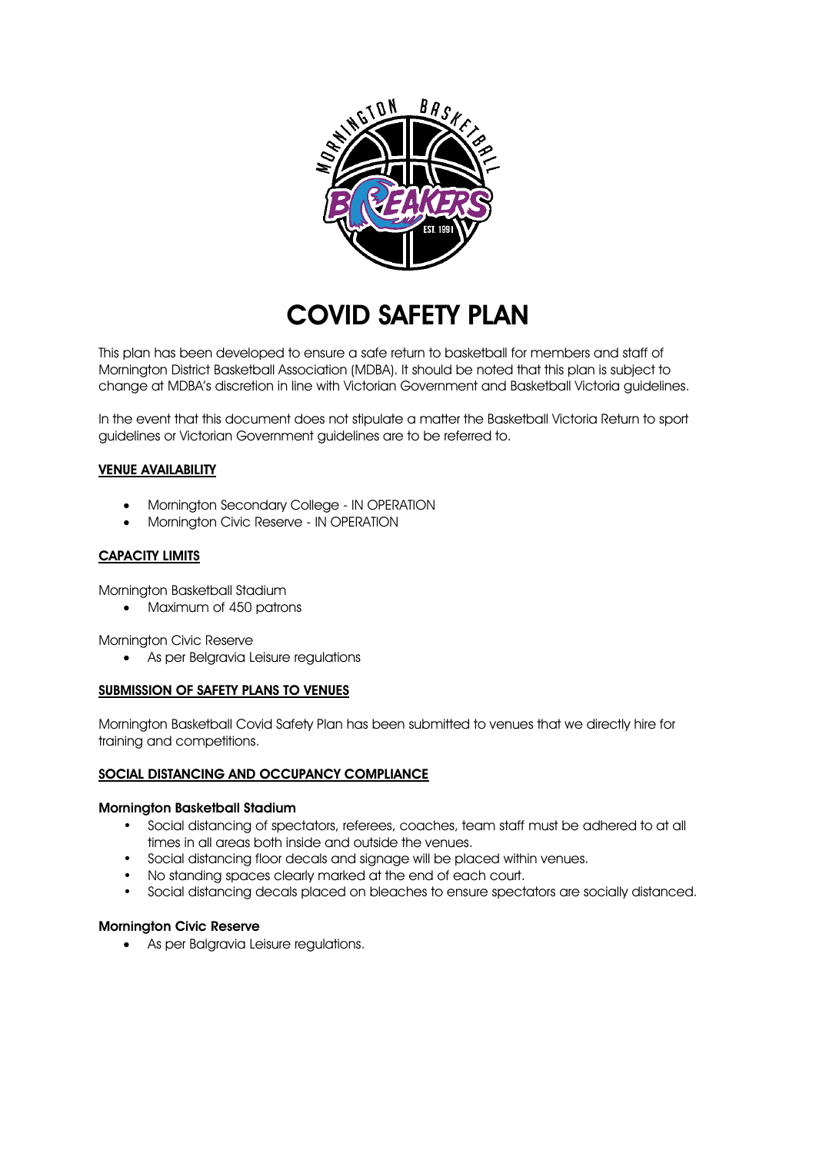

# COVID SAFETY PLAN

This plan has been developed to ensure a safe return to basketball for members and staff of Mornington District Basketball Association (MDBA). It should be noted that this plan is subject to change at MDBA's discretion in line with Victorian Government and Basketball Victoria guidelines.

In the event that this document does not stipulate a matter the Basketball Victoria Return to sport guidelines or Victorian Government guidelines are to be referred to.

# VENUE AVAILABILITY

- Mornington Secondary College IN OPERATION
- Mornington Civic Reserve IN OPERATION

## CAPACITY LIMITS

Mornington Basketball Stadium

• Maximum of 450 patrons

Mornington Civic Reserve

• As per Belgravia Leisure regulations

### SUBMISSION OF SAFETY PLANS TO VENUES

Mornington Basketball Covid Safety Plan has been submitted to venues that we directly hire for training and competitions.

### SOCIAL DISTANCING AND OCCUPANCY COMPLIANCE

### Mornington Basketball Stadium

- Social distancing of spectators, referees, coaches, team staff must be adhered to at all times in all areas both inside and outside the venues.
- Social distancing floor decals and signage will be placed within venues.
- No standing spaces clearly marked at the end of each court.
- Social distancing decals placed on bleaches to ensure spectators are socially distanced.

### Mornington Civic Reserve

• As per Balgravia Leisure regulations.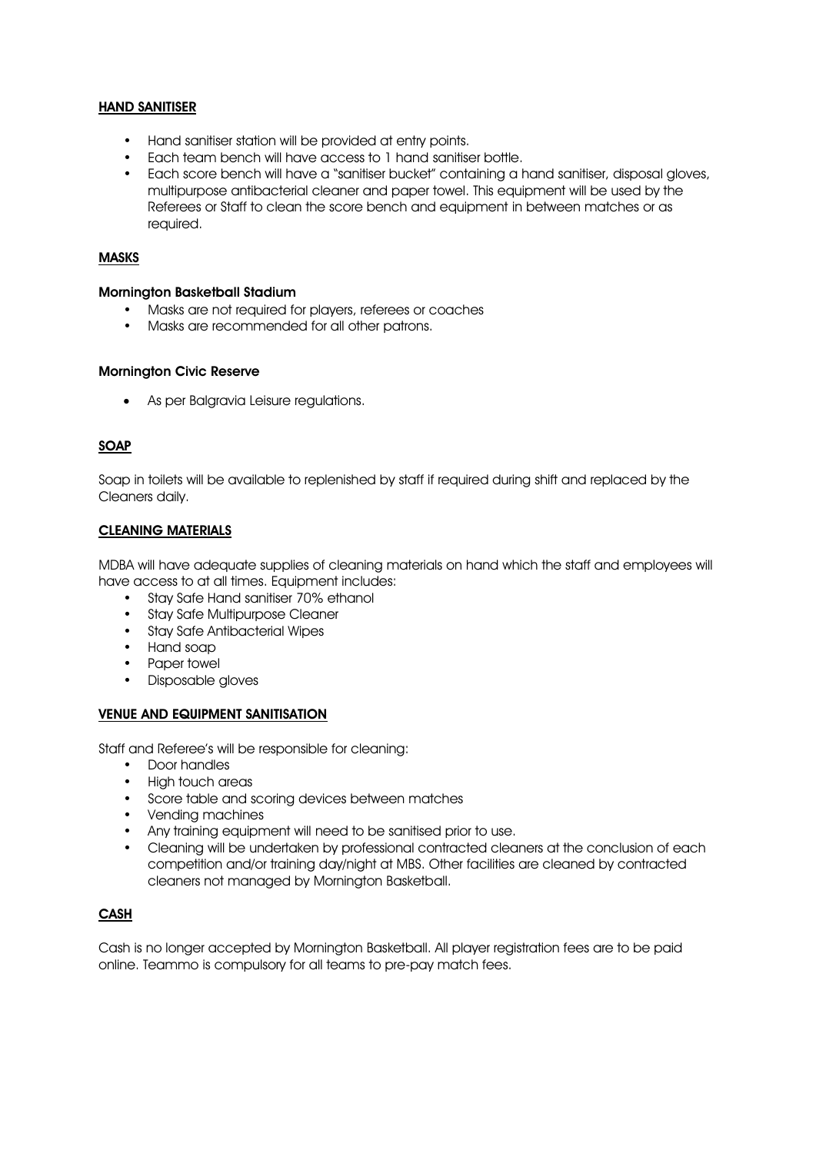# HAND SANITISER

- Hand sanitiser station will be provided at entry points.
- Each team bench will have access to 1 hand sanitiser bottle.
- Each score bench will have a "sanitiser bucket" containing a hand sanitiser, disposal gloves, multipurpose antibacterial cleaner and paper towel. This equipment will be used by the Referees or Staff to clean the score bench and equipment in between matches or as required.

# MASKS

## Mornington Basketball Stadium

- Masks are not required for players, referees or coaches
- Masks are recommended for all other patrons.

## Mornington Civic Reserve

• As per Balgravia Leisure regulations.

# **SOAP**

Soap in toilets will be available to replenished by staff if required during shift and replaced by the Cleaners daily.

# CLEANING MATERIALS

MDBA will have adequate supplies of cleaning materials on hand which the staff and employees will have access to at all times. Equipment includes:

- Stay Safe Hand sanitiser 70% ethanol
- Stay Safe Multipurpose Cleaner
- Stay Safe Antibacterial Wipes
- Hand soap
- Paper towel
- Disposable gloves

# VENUE AND EQUIPMENT SANITISATION

Staff and Referee's will be responsible for cleaning:

- Door handles
- High touch areas
- Score table and scoring devices between matches
- Vending machines
- Any training equipment will need to be sanitised prior to use.
- Cleaning will be undertaken by professional contracted cleaners at the conclusion of each competition and/or training day/night at MBS. Other facilities are cleaned by contracted cleaners not managed by Mornington Basketball.

# CASH

Cash is no longer accepted by Mornington Basketball. All player registration fees are to be paid online. Teammo is compulsory for all teams to pre-pay match fees.